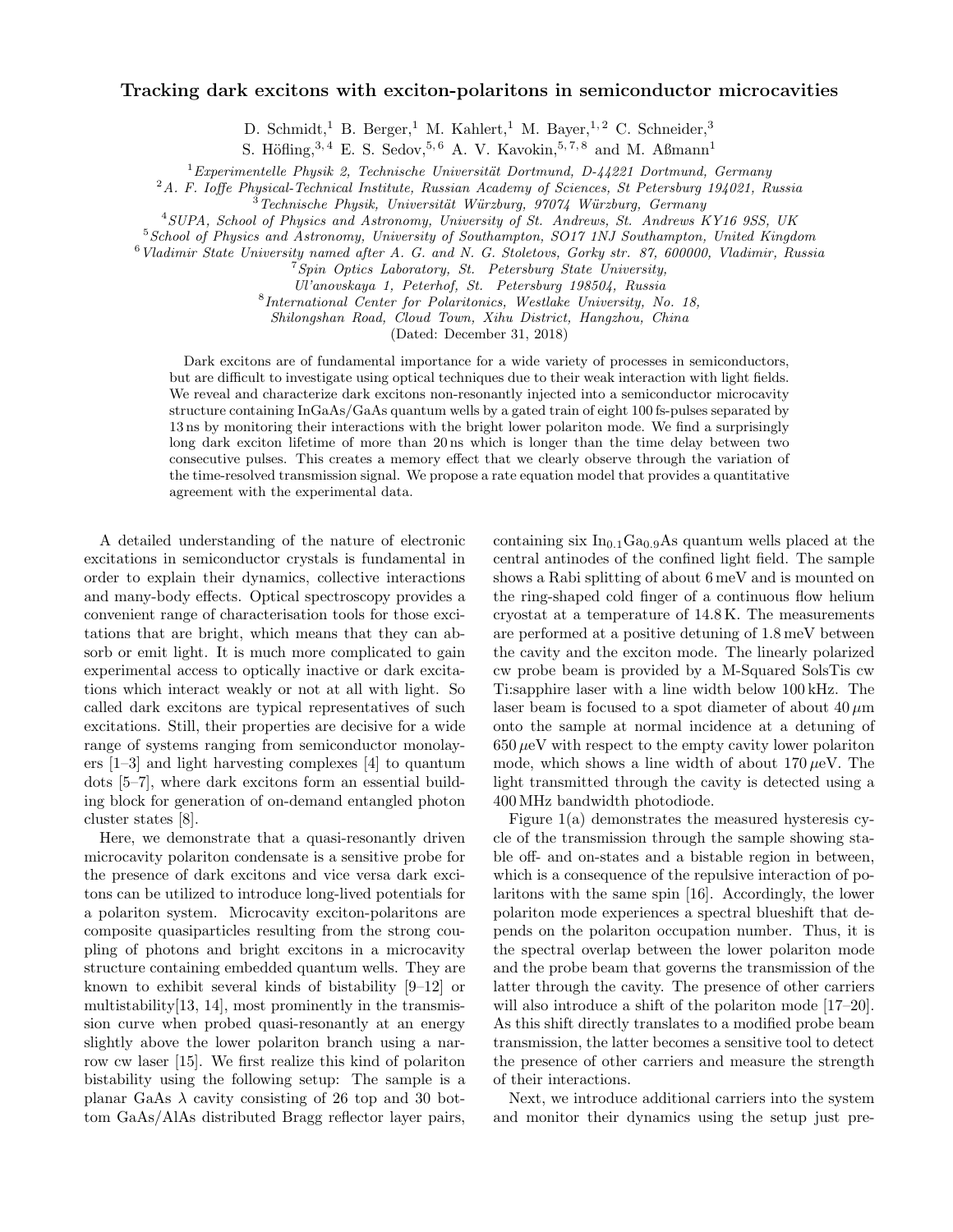## Tracking dark excitons with exciton-polaritons in semiconductor microcavities

D. Schmidt,<sup>1</sup> B. Berger,<sup>1</sup> M. Kahlert,<sup>1</sup> M. Bayer,<sup>1,2</sup> C. Schneider,<sup>3</sup>

S. Höfling,<sup>3, 4</sup> E. S. Sedov,<sup>5, 6</sup> A. V. Kavokin,<sup>5,7,8</sup> and M. Aßmann<sup>1</sup>

 $1$ Experimentelle Physik 2, Technische Universität Dortmund, D-44221 Dortmund, Germany

 $2A.$  F. Ioffe Physical-Technical Institute, Russian Academy of Sciences, St Petersburg 194021, Russia

 $3$ Technische Physik, Universität Würzburg, 97074 Würzburg, Germany

<sup>4</sup>SUPA, School of Physics and Astronomy, University of St. Andrews, St. Andrews KY16 9SS, UK

<sup>5</sup>School of Physics and Astronomy, University of Southampton, SO17 1NJ Southampton, United Kingdom

<sup>6</sup>Vladimir State University named after A. G. and N. G. Stoletovs, Gorky str. 87, 600000, Vladimir, Russia

 $7$ Spin Optics Laboratory, St. Petersburg State University, Ul'anovskaya 1, Peterhof, St. Petersburg 198504, Russia

8 International Center for Polaritonics, Westlake University, No. 18, Shilongshan Road, Cloud Town, Xihu District, Hangzhou, China

(Dated: December 31, 2018)

Dark excitons are of fundamental importance for a wide variety of processes in semiconductors, but are difficult to investigate using optical techniques due to their weak interaction with light fields. We reveal and characterize dark excitons non-resonantly injected into a semiconductor microcavity structure containing InGaAs/GaAs quantum wells by a gated train of eight 100 fs-pulses separated by 13 ns by monitoring their interactions with the bright lower polariton mode. We find a surprisingly long dark exciton lifetime of more than 20 ns which is longer than the time delay between two consecutive pulses. This creates a memory effect that we clearly observe through the variation of the time-resolved transmission signal. We propose a rate equation model that provides a quantitative agreement with the experimental data.

A detailed understanding of the nature of electronic excitations in semiconductor crystals is fundamental in order to explain their dynamics, collective interactions and many-body effects. Optical spectroscopy provides a convenient range of characterisation tools for those excitations that are bright, which means that they can absorb or emit light. It is much more complicated to gain experimental access to optically inactive or dark excitations which interact weakly or not at all with light. So called dark excitons are typical representatives of such excitations. Still, their properties are decisive for a wide range of systems ranging from semiconductor monolayers [1–3] and light harvesting complexes [4] to quantum dots [5–7], where dark excitons form an essential building block for generation of on-demand entangled photon cluster states [8].

Here, we demonstrate that a quasi-resonantly driven microcavity polariton condensate is a sensitive probe for the presence of dark excitons and vice versa dark excitons can be utilized to introduce long-lived potentials for a polariton system. Microcavity exciton-polaritons are composite quasiparticles resulting from the strong coupling of photons and bright excitons in a microcavity structure containing embedded quantum wells. They are known to exhibit several kinds of bistability [9–12] or multistability[13, 14], most prominently in the transmission curve when probed quasi-resonantly at an energy slightly above the lower polariton branch using a narrow cw laser [15]. We first realize this kind of polariton bistability using the following setup: The sample is a planar GaAs  $\lambda$  cavity consisting of 26 top and 30 bottom GaAs/AlAs distributed Bragg reflector layer pairs,

containing six  $In<sub>0.1</sub>Ga<sub>0.9</sub>As quantum wells placed at the$ central antinodes of the confined light field. The sample shows a Rabi splitting of about 6 meV and is mounted on the ring-shaped cold finger of a continuous flow helium cryostat at a temperature of 14.8 K. The measurements are performed at a positive detuning of 1.8 meV between the cavity and the exciton mode. The linearly polarized cw probe beam is provided by a M-Squared SolsTis cw Ti:sapphire laser with a line width below 100 kHz. The laser beam is focused to a spot diameter of about  $40 \mu m$ onto the sample at normal incidence at a detuning of  $650 \mu\text{eV}$  with respect to the empty cavity lower polariton mode, which shows a line width of about  $170 \mu$ eV. The light transmitted through the cavity is detected using a 400 MHz bandwidth photodiode.

Figure 1(a) demonstrates the measured hysteresis cycle of the transmission through the sample showing stable off- and on-states and a bistable region in between, which is a consequence of the repulsive interaction of polaritons with the same spin [16]. Accordingly, the lower polariton mode experiences a spectral blueshift that depends on the polariton occupation number. Thus, it is the spectral overlap between the lower polariton mode and the probe beam that governs the transmission of the latter through the cavity. The presence of other carriers will also introduce a shift of the polariton mode  $[17–20]$ . As this shift directly translates to a modified probe beam transmission, the latter becomes a sensitive tool to detect the presence of other carriers and measure the strength of their interactions.

Next, we introduce additional carriers into the system and monitor their dynamics using the setup just pre-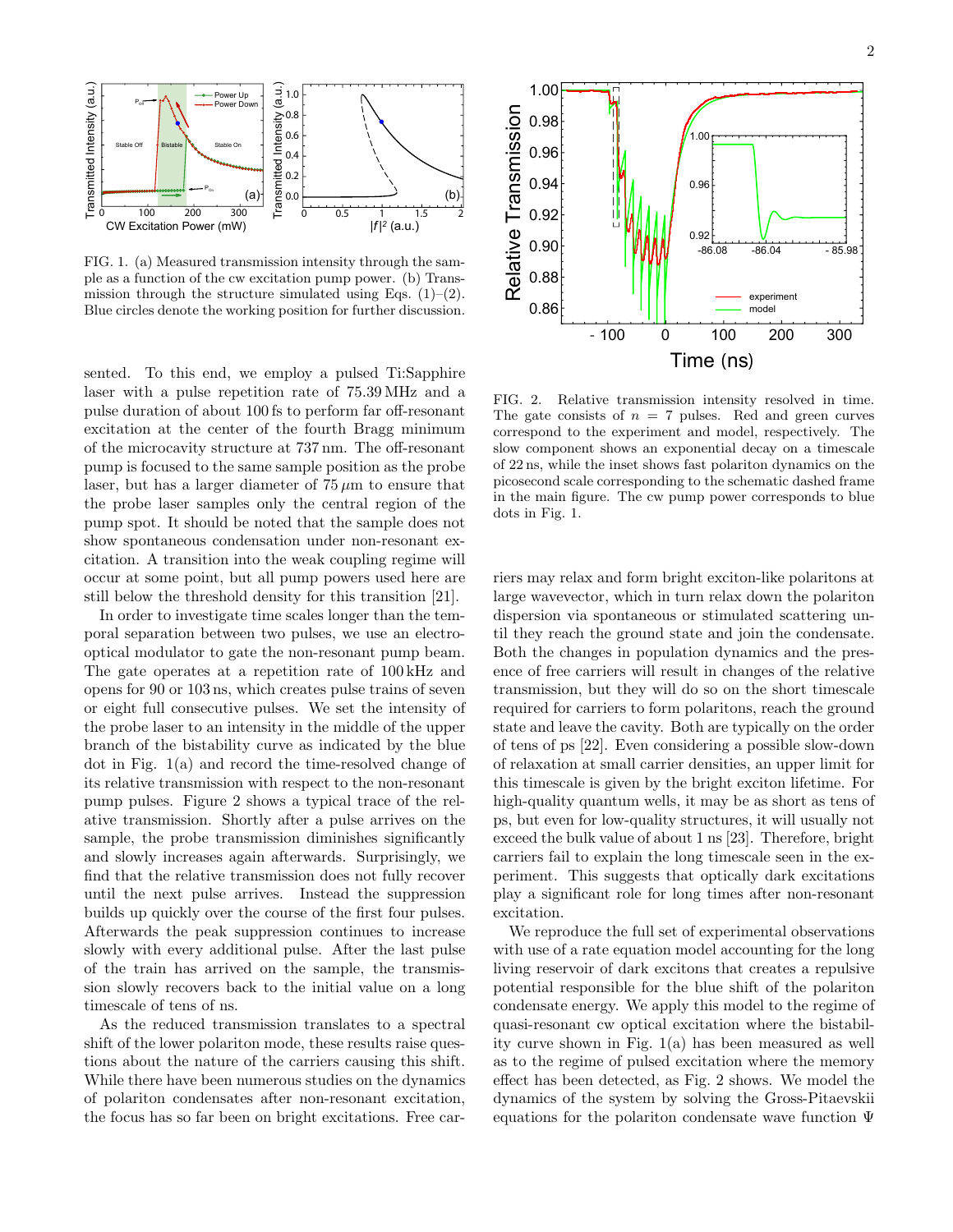

FIG. 1. (a) Measured transmission intensity through the sample as a function of the cw excitation pump power. (b) Transmission through the structure simulated using Eqs.  $(1)$ – $(2)$ . Blue circles denote the working position for further discussion.

sented. To this end, we employ a pulsed Ti:Sapphire laser with a pulse repetition rate of 75.39 MHz and a pulse duration of about 100 fs to perform far off-resonant excitation at the center of the fourth Bragg minimum of the microcavity structure at 737 nm. The off-resonant pump is focused to the same sample position as the probe laser, but has a larger diameter of  $75 \mu m$  to ensure that the probe laser samples only the central region of the pump spot. It should be noted that the sample does not show spontaneous condensation under non-resonant excitation. A transition into the weak coupling regime will occur at some point, but all pump powers used here are still below the threshold density for this transition [21].

In order to investigate time scales longer than the temporal separation between two pulses, we use an electrooptical modulator to gate the non-resonant pump beam. The gate operates at a repetition rate of 100 kHz and opens for 90 or 103 ns, which creates pulse trains of seven or eight full consecutive pulses. We set the intensity of the probe laser to an intensity in the middle of the upper branch of the bistability curve as indicated by the blue dot in Fig. 1(a) and record the time-resolved change of its relative transmission with respect to the non-resonant pump pulses. Figure 2 shows a typical trace of the relative transmission. Shortly after a pulse arrives on the sample, the probe transmission diminishes significantly and slowly increases again afterwards. Surprisingly, we find that the relative transmission does not fully recover until the next pulse arrives. Instead the suppression builds up quickly over the course of the first four pulses. Afterwards the peak suppression continues to increase slowly with every additional pulse. After the last pulse of the train has arrived on the sample, the transmission slowly recovers back to the initial value on a long timescale of tens of ns.

As the reduced transmission translates to a spectral shift of the lower polariton mode, these results raise questions about the nature of the carriers causing this shift. While there have been numerous studies on the dynamics of polariton condensates after non-resonant excitation, the focus has so far been on bright excitations. Free car-



FIG. 2. Relative transmission intensity resolved in time. The gate consists of  $n = 7$  pulses. Red and green curves correspond to the experiment and model, respectively. The slow component shows an exponential decay on a timescale of 22 ns, while the inset shows fast polariton dynamics on the picosecond scale corresponding to the schematic dashed frame in the main figure. The cw pump power corresponds to blue dots in Fig. 1.

riers may relax and form bright exciton-like polaritons at large wavevector, which in turn relax down the polariton dispersion via spontaneous or stimulated scattering until they reach the ground state and join the condensate. Both the changes in population dynamics and the presence of free carriers will result in changes of the relative transmission, but they will do so on the short timescale required for carriers to form polaritons, reach the ground state and leave the cavity. Both are typically on the order of tens of ps [22]. Even considering a possible slow-down of relaxation at small carrier densities, an upper limit for this timescale is given by the bright exciton lifetime. For high-quality quantum wells, it may be as short as tens of ps, but even for low-quality structures, it will usually not exceed the bulk value of about 1 ns [23]. Therefore, bright carriers fail to explain the long timescale seen in the experiment. This suggests that optically dark excitations play a significant role for long times after non-resonant excitation.

We reproduce the full set of experimental observations with use of a rate equation model accounting for the long living reservoir of dark excitons that creates a repulsive potential responsible for the blue shift of the polariton condensate energy. We apply this model to the regime of quasi-resonant cw optical excitation where the bistability curve shown in Fig. 1(a) has been measured as well as to the regime of pulsed excitation where the memory effect has been detected, as Fig. 2 shows. We model the dynamics of the system by solving the Gross-Pitaevskii equations for the polariton condensate wave function Ψ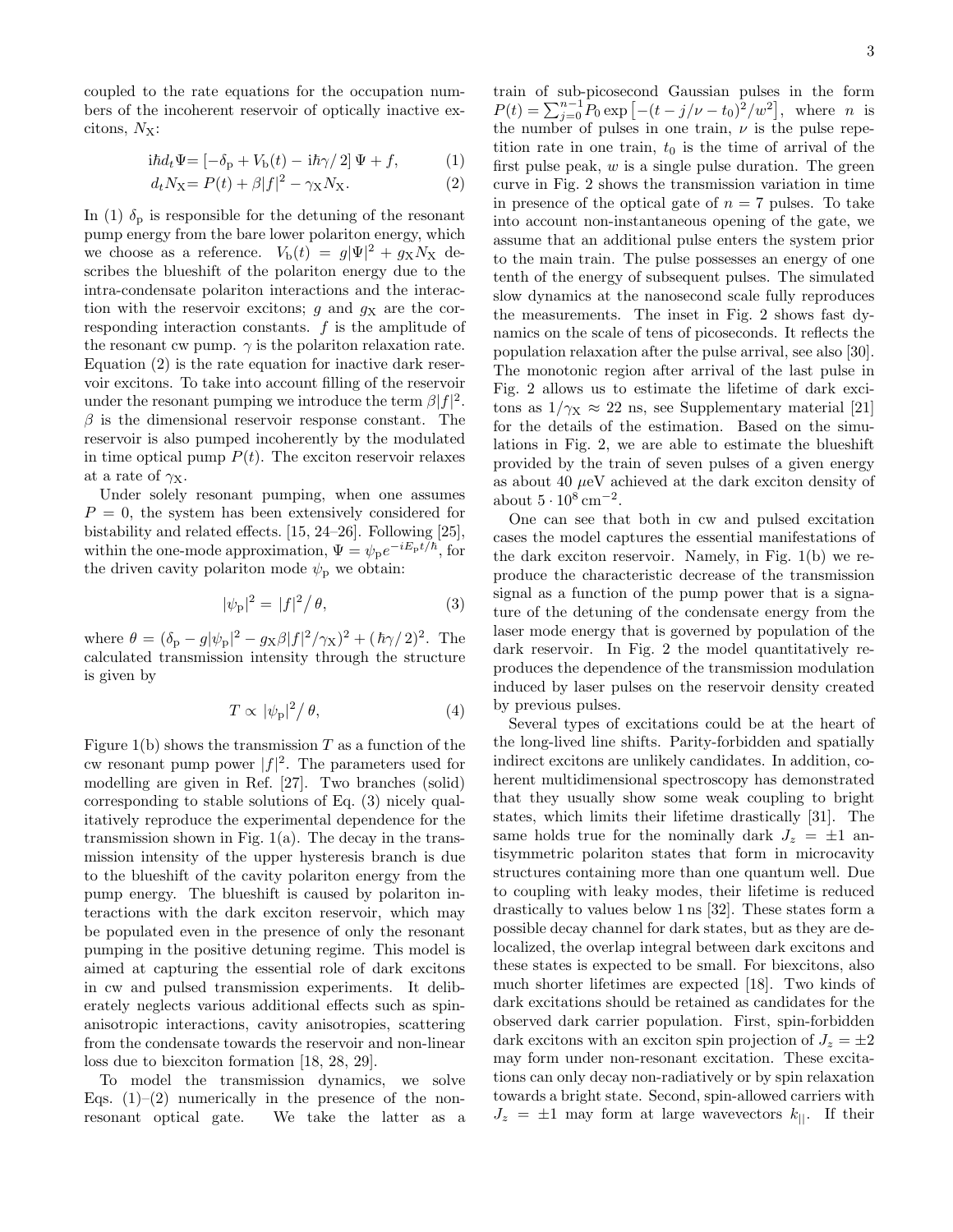coupled to the rate equations for the occupation numbers of the incoherent reservoir of optically inactive excitons,  $N_X$ :

$$
i\hbar d_t \Psi = \left[ -\delta_{\rm p} + V_{\rm b}(t) - i\hbar \gamma/2 \right] \Psi + f, \tag{1}
$$

$$
d_t N_{\mathbf{X}} = P(t) + \beta |f|^2 - \gamma_{\mathbf{X}} N_{\mathbf{X}}.\tag{2}
$$

In (1)  $\delta_{\rm p}$  is responsible for the detuning of the resonant pump energy from the bare lower polariton energy, which we choose as a reference.  $V_{\rm b}(t) = g|\Psi|^2 + g_X N_X$  describes the blueshift of the polariton energy due to the intra-condensate polariton interactions and the interaction with the reservoir excitons;  $g$  and  $g_X$  are the corresponding interaction constants.  $f$  is the amplitude of the resonant cw pump.  $\gamma$  is the polariton relaxation rate. Equation (2) is the rate equation for inactive dark reservoir excitons. To take into account filling of the reservoir under the resonant pumping we introduce the term  $\beta |f|^2$ .  $\beta$  is the dimensional reservoir response constant. The reservoir is also pumped incoherently by the modulated in time optical pump  $P(t)$ . The exciton reservoir relaxes at a rate of  $\gamma_{\rm X}$ .

Under solely resonant pumping, when one assumes  $P = 0$ , the system has been extensively considered for bistability and related effects. [15, 24–26]. Following [25], within the one-mode approximation,  $\Psi = \psi_p e^{-iE_p t/\hbar}$ , for the driven cavity polariton mode  $\psi_{\rm p}$  we obtain:

$$
|\psi_{\mathbf{p}}|^2 = |f|^2 / \theta,\tag{3}
$$

where  $\theta = (\delta_{\rm p} - g|\psi_{\rm p}|^2 - g_{\rm X}\beta|f|^2/\gamma_{\rm X})^2 + (\hbar\gamma/2)^2$ . The calculated transmission intensity through the structure is given by

$$
T \propto |\psi_{\rm p}|^2 / \theta,\tag{4}
$$

Figure 1(b) shows the transmission  $T$  as a function of the cw resonant pump power  $|f|^2$ . The parameters used for modelling are given in Ref. [27]. Two branches (solid) corresponding to stable solutions of Eq. (3) nicely qualitatively reproduce the experimental dependence for the transmission shown in Fig.  $1(a)$ . The decay in the transmission intensity of the upper hysteresis branch is due to the blueshift of the cavity polariton energy from the pump energy. The blueshift is caused by polariton interactions with the dark exciton reservoir, which may be populated even in the presence of only the resonant pumping in the positive detuning regime. This model is aimed at capturing the essential role of dark excitons in cw and pulsed transmission experiments. It deliberately neglects various additional effects such as spinanisotropic interactions, cavity anisotropies, scattering from the condensate towards the reservoir and non-linear loss due to biexciton formation [18, 28, 29].

To model the transmission dynamics, we solve Eqs.  $(1)$ – $(2)$  numerically in the presence of the nonresonant optical gate. We take the latter as a

train of sub-picosecond Gaussian pulses in the form  $P(t) = \sum_{j=0}^{n-1} P_0 \exp[-(t-j/\nu - t_0)^2/w^2], \text{ where } n \text{ is}$ the number of pulses in one train,  $\nu$  is the pulse repetition rate in one train,  $t_0$  is the time of arrival of the first pulse peak,  $w$  is a single pulse duration. The green curve in Fig. 2 shows the transmission variation in time in presence of the optical gate of  $n = 7$  pulses. To take into account non-instantaneous opening of the gate, we assume that an additional pulse enters the system prior to the main train. The pulse possesses an energy of one tenth of the energy of subsequent pulses. The simulated slow dynamics at the nanosecond scale fully reproduces the measurements. The inset in Fig. 2 shows fast dynamics on the scale of tens of picoseconds. It reflects the population relaxation after the pulse arrival, see also [30]. The monotonic region after arrival of the last pulse in Fig. 2 allows us to estimate the lifetime of dark excitons as  $1/\gamma_{\rm X} \approx 22$  ns, see Supplementary material [21] for the details of the estimation. Based on the simulations in Fig. 2, we are able to estimate the blueshift provided by the train of seven pulses of a given energy as about 40  $\mu$ eV achieved at the dark exciton density of about  $5 \cdot 10^8$  cm<sup>-2</sup>.

One can see that both in cw and pulsed excitation cases the model captures the essential manifestations of the dark exciton reservoir. Namely, in Fig. 1(b) we reproduce the characteristic decrease of the transmission signal as a function of the pump power that is a signature of the detuning of the condensate energy from the laser mode energy that is governed by population of the dark reservoir. In Fig. 2 the model quantitatively reproduces the dependence of the transmission modulation induced by laser pulses on the reservoir density created by previous pulses.

Several types of excitations could be at the heart of the long-lived line shifts. Parity-forbidden and spatially indirect excitons are unlikely candidates. In addition, coherent multidimensional spectroscopy has demonstrated that they usually show some weak coupling to bright states, which limits their lifetime drastically [31]. The same holds true for the nominally dark  $J_z = \pm 1$  antisymmetric polariton states that form in microcavity structures containing more than one quantum well. Due to coupling with leaky modes, their lifetime is reduced drastically to values below 1 ns [32]. These states form a possible decay channel for dark states, but as they are delocalized, the overlap integral between dark excitons and these states is expected to be small. For biexcitons, also much shorter lifetimes are expected [18]. Two kinds of dark excitations should be retained as candidates for the observed dark carrier population. First, spin-forbidden dark excitons with an exciton spin projection of  $J_z = \pm 2$ may form under non-resonant excitation. These excitations can only decay non-radiatively or by spin relaxation towards a bright state. Second, spin-allowed carriers with  $J_z = \pm 1$  may form at large wavevectors  $k_{\parallel}$ . If their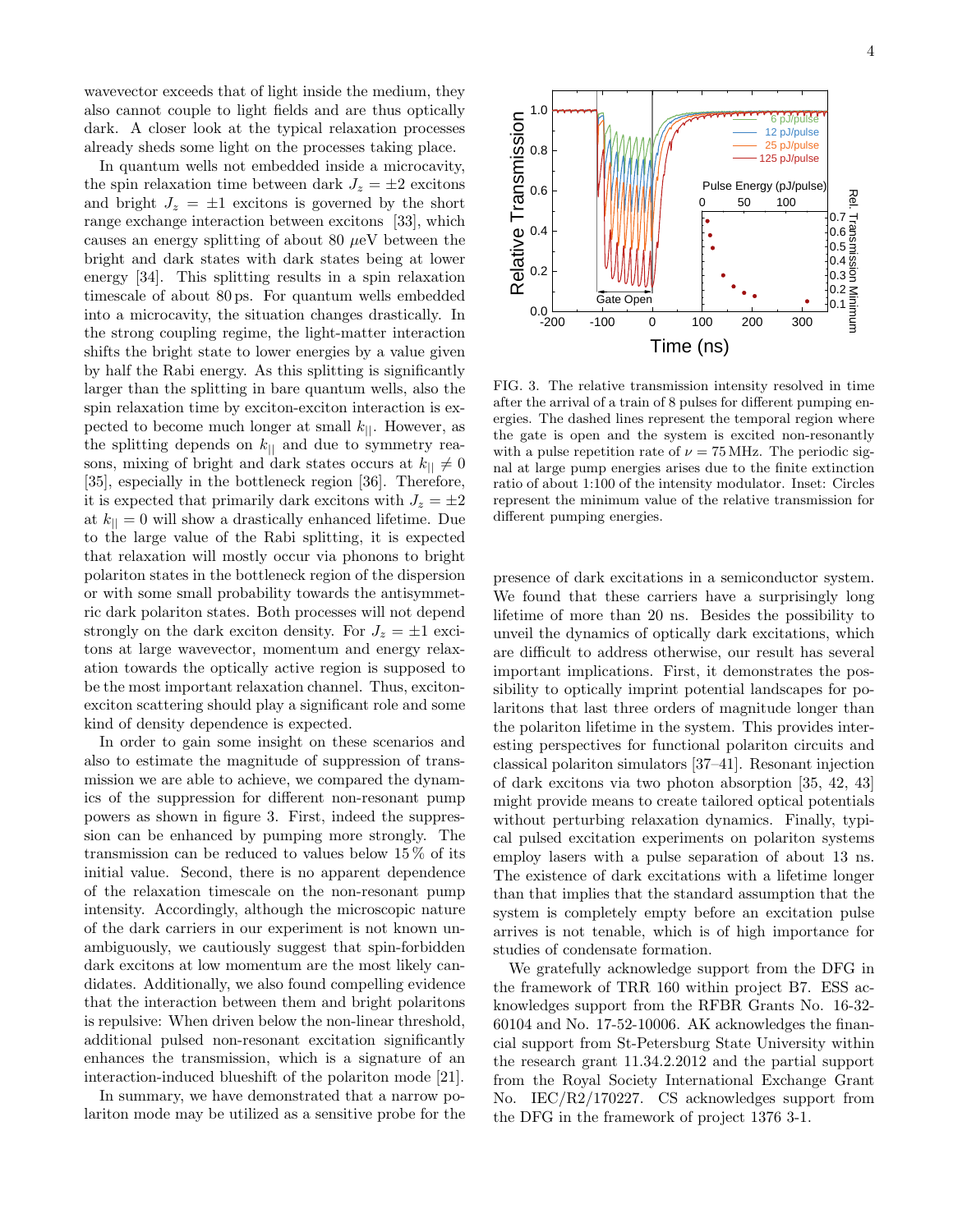wavevector exceeds that of light inside the medium, they also cannot couple to light fields and are thus optically dark. A closer look at the typical relaxation processes already sheds some light on the processes taking place.

In quantum wells not embedded inside a microcavity, the spin relaxation time between dark  $J_z = \pm 2$  excitons and bright  $J_z = \pm 1$  excitons is governed by the short range exchange interaction between excitons [33], which causes an energy splitting of about 80  $\mu$ eV between the bright and dark states with dark states being at lower energy [34]. This splitting results in a spin relaxation timescale of about 80 ps. For quantum wells embedded into a microcavity, the situation changes drastically. In the strong coupling regime, the light-matter interaction shifts the bright state to lower energies by a value given by half the Rabi energy. As this splitting is significantly larger than the splitting in bare quantum wells, also the spin relaxation time by exciton-exciton interaction is expected to become much longer at small  $k_{\parallel}$ . However, as the splitting depends on  $k_{\parallel}$  and due to symmetry reasons, mixing of bright and dark states occurs at  $k_{\parallel} \neq 0$ [35], especially in the bottleneck region [36]. Therefore, it is expected that primarily dark excitons with  $J_z = \pm 2$ at  $k_{\parallel} = 0$  will show a drastically enhanced lifetime. Due to the large value of the Rabi splitting, it is expected that relaxation will mostly occur via phonons to bright polariton states in the bottleneck region of the dispersion or with some small probability towards the antisymmetric dark polariton states. Both processes will not depend strongly on the dark exciton density. For  $J_z = \pm 1$  excitons at large wavevector, momentum and energy relaxation towards the optically active region is supposed to be the most important relaxation channel. Thus, excitonexciton scattering should play a significant role and some kind of density dependence is expected.

In order to gain some insight on these scenarios and also to estimate the magnitude of suppression of transmission we are able to achieve, we compared the dynamics of the suppression for different non-resonant pump powers as shown in figure 3. First, indeed the suppression can be enhanced by pumping more strongly. The transmission can be reduced to values below  $15\%$  of its initial value. Second, there is no apparent dependence of the relaxation timescale on the non-resonant pump intensity. Accordingly, although the microscopic nature of the dark carriers in our experiment is not known unambiguously, we cautiously suggest that spin-forbidden dark excitons at low momentum are the most likely candidates. Additionally, we also found compelling evidence that the interaction between them and bright polaritons is repulsive: When driven below the non-linear threshold, additional pulsed non-resonant excitation significantly enhances the transmission, which is a signature of an interaction-induced blueshift of the polariton mode [21].

In summary, we have demonstrated that a narrow polariton mode may be utilized as a sensitive probe for the



FIG. 3. The relative transmission intensity resolved in time after the arrival of a train of 8 pulses for different pumping energies. The dashed lines represent the temporal region where the gate is open and the system is excited non-resonantly with a pulse repetition rate of  $\nu = 75 \text{ MHz}$ . The periodic signal at large pump energies arises due to the finite extinction ratio of about 1:100 of the intensity modulator. Inset: Circles represent the minimum value of the relative transmission for different pumping energies.

presence of dark excitations in a semiconductor system. We found that these carriers have a surprisingly long lifetime of more than 20 ns. Besides the possibility to unveil the dynamics of optically dark excitations, which are difficult to address otherwise, our result has several important implications. First, it demonstrates the possibility to optically imprint potential landscapes for polaritons that last three orders of magnitude longer than the polariton lifetime in the system. This provides interesting perspectives for functional polariton circuits and classical polariton simulators [37–41]. Resonant injection of dark excitons via two photon absorption [35, 42, 43] might provide means to create tailored optical potentials without perturbing relaxation dynamics. Finally, typical pulsed excitation experiments on polariton systems employ lasers with a pulse separation of about 13 ns. The existence of dark excitations with a lifetime longer than that implies that the standard assumption that the system is completely empty before an excitation pulse arrives is not tenable, which is of high importance for studies of condensate formation.

We gratefully acknowledge support from the DFG in the framework of TRR 160 within project B7. ESS acknowledges support from the RFBR Grants No. 16-32- 60104 and No. 17-52-10006. AK acknowledges the financial support from St-Petersburg State University within the research grant 11.34.2.2012 and the partial support from the Royal Society International Exchange Grant No. IEC/R2/170227. CS acknowledges support from the DFG in the framework of project 1376 3-1.